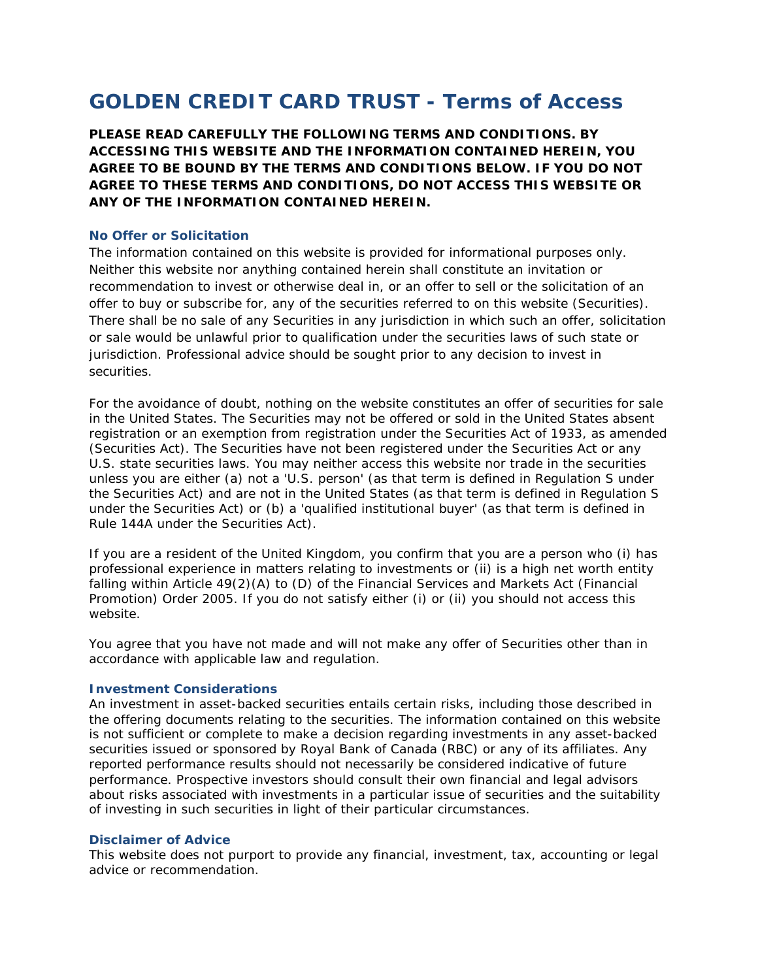# **GOLDEN CREDIT CARD TRUST - Terms of Access**

**PLEASE READ CAREFULLY THE FOLLOWING TERMS AND CONDITIONS. BY ACCESSING THIS WEBSITE AND THE INFORMATION CONTAINED HEREIN, YOU AGREE TO BE BOUND BY THE TERMS AND CONDITIONS BELOW. IF YOU DO NOT AGREE TO THESE TERMS AND CONDITIONS, DO NOT ACCESS THIS WEBSITE OR ANY OF THE INFORMATION CONTAINED HEREIN.**

## **No Offer or Solicitation**

The information contained on this website is provided for informational purposes only. Neither this website nor anything contained herein shall constitute an invitation or recommendation to invest or otherwise deal in, or an offer to sell or the solicitation of an offer to buy or subscribe for, any of the securities referred to on this website (Securities). There shall be no sale of any Securities in any jurisdiction in which such an offer, solicitation or sale would be unlawful prior to qualification under the securities laws of such state or jurisdiction. Professional advice should be sought prior to any decision to invest in securities.

For the avoidance of doubt, nothing on the website constitutes an offer of securities for sale in the United States. The Securities may not be offered or sold in the United States absent registration or an exemption from registration under the Securities Act of 1933, as amended (Securities Act). The Securities have not been registered under the Securities Act or any U.S. state securities laws. You may neither access this website nor trade in the securities unless you are either (a) not a 'U.S. person' (as that term is defined in Regulation S under the Securities Act) and are not in the United States (as that term is defined in Regulation S under the Securities Act) or (b) a 'qualified institutional buyer' (as that term is defined in Rule 144A under the Securities Act).

If you are a resident of the United Kingdom, you confirm that you are a person who (i) has professional experience in matters relating to investments or (ii) is a high net worth entity falling within Article 49(2)(A) to (D) of the Financial Services and Markets Act (Financial Promotion) Order 2005. If you do not satisfy either (i) or (ii) you should not access this website.

You agree that you have not made and will not make any offer of Securities other than in accordance with applicable law and regulation.

## **Investment Considerations**

An investment in asset-backed securities entails certain risks, including those described in the offering documents relating to the securities. The information contained on this website is not sufficient or complete to make a decision regarding investments in any asset-backed securities issued or sponsored by Royal Bank of Canada (RBC) or any of its affiliates. Any reported performance results should not necessarily be considered indicative of future performance. Prospective investors should consult their own financial and legal advisors about risks associated with investments in a particular issue of securities and the suitability of investing in such securities in light of their particular circumstances.

## **Disclaimer of Advice**

This website does not purport to provide any financial, investment, tax, accounting or legal advice or recommendation.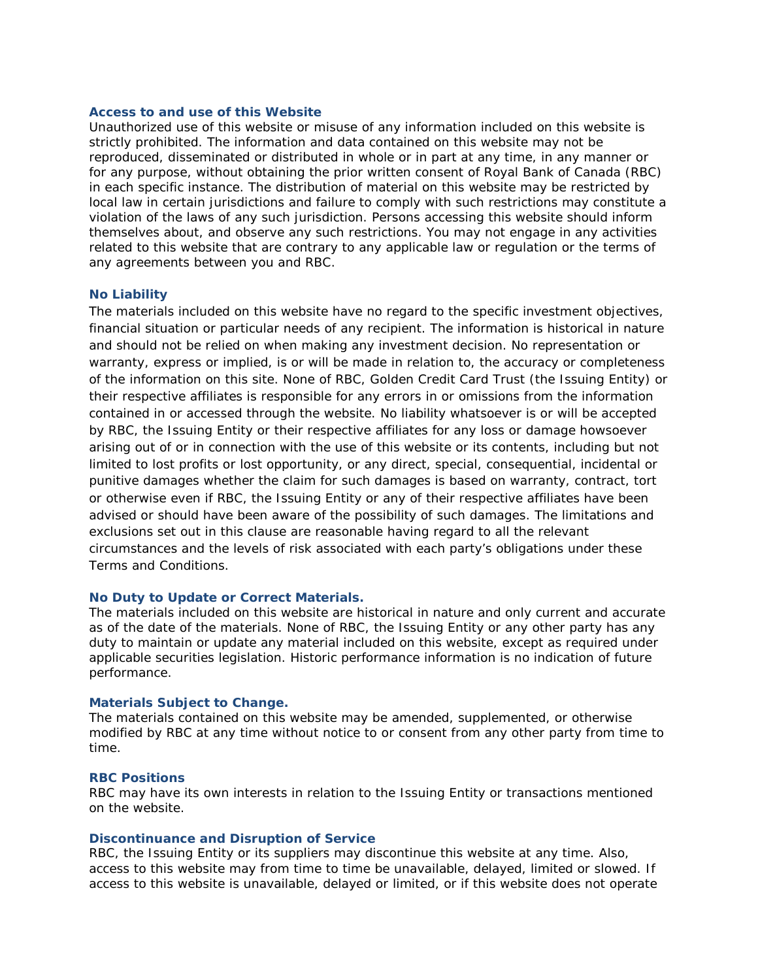#### **Access to and use of this Website**

Unauthorized use of this website or misuse of any information included on this website is strictly prohibited. The information and data contained on this website may not be reproduced, disseminated or distributed in whole or in part at any time, in any manner or for any purpose, without obtaining the prior written consent of Royal Bank of Canada (RBC) in each specific instance. The distribution of material on this website may be restricted by local law in certain jurisdictions and failure to comply with such restrictions may constitute a violation of the laws of any such jurisdiction. Persons accessing this website should inform themselves about, and observe any such restrictions. You may not engage in any activities related to this website that are contrary to any applicable law or regulation or the terms of any agreements between you and RBC.

#### **No Liability**

The materials included on this website have no regard to the specific investment objectives, financial situation or particular needs of any recipient. The information is historical in nature and should not be relied on when making any investment decision. No representation or warranty, express or implied, is or will be made in relation to, the accuracy or completeness of the information on this site. None of RBC, Golden Credit Card Trust (the Issuing Entity) or their respective affiliates is responsible for any errors in or omissions from the information contained in or accessed through the website. No liability whatsoever is or will be accepted by RBC, the Issuing Entity or their respective affiliates for any loss or damage howsoever arising out of or in connection with the use of this website or its contents, including but not limited to lost profits or lost opportunity, or any direct, special, consequential, incidental or punitive damages whether the claim for such damages is based on warranty, contract, tort or otherwise even if RBC, the Issuing Entity or any of their respective affiliates have been advised or should have been aware of the possibility of such damages. The limitations and exclusions set out in this clause are reasonable having regard to all the relevant circumstances and the levels of risk associated with each party's obligations under these Terms and Conditions.

#### **No Duty to Update or Correct Materials.**

The materials included on this website are historical in nature and only current and accurate as of the date of the materials. None of RBC, the Issuing Entity or any other party has any duty to maintain or update any material included on this website, except as required under applicable securities legislation. Historic performance information is no indication of future performance.

## **Materials Subject to Change.**

The materials contained on this website may be amended, supplemented, or otherwise modified by RBC at any time without notice to or consent from any other party from time to time.

#### **RBC Positions**

RBC may have its own interests in relation to the Issuing Entity or transactions mentioned on the website.

#### **Discontinuance and Disruption of Service**

RBC, the Issuing Entity or its suppliers may discontinue this website at any time. Also, access to this website may from time to time be unavailable, delayed, limited or slowed. If access to this website is unavailable, delayed or limited, or if this website does not operate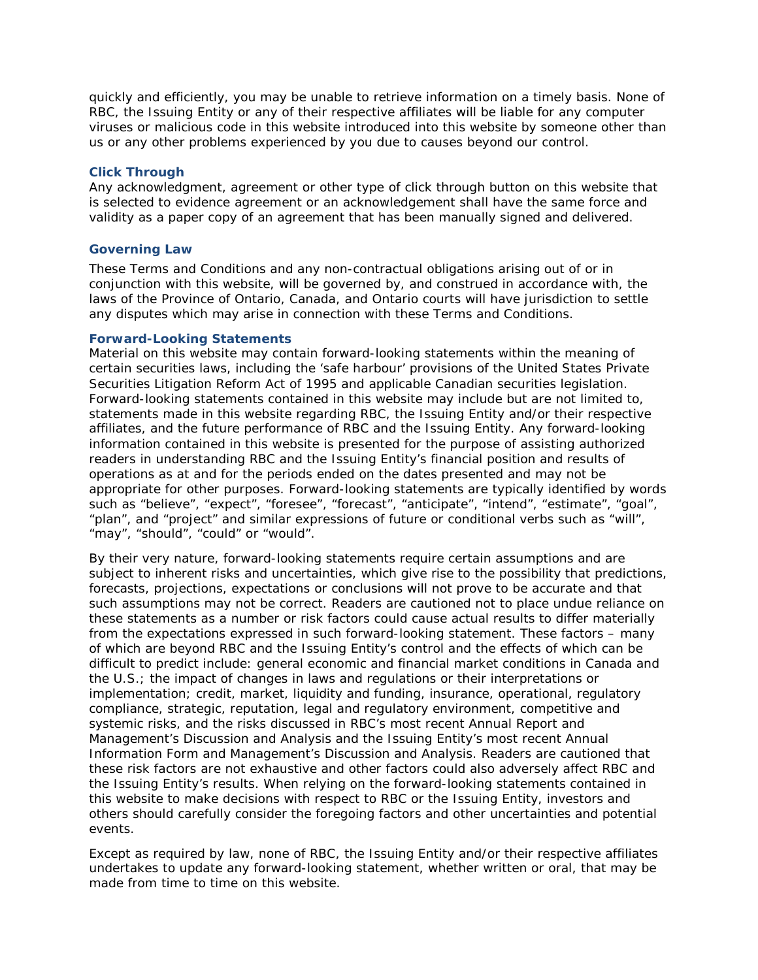quickly and efficiently, you may be unable to retrieve information on a timely basis. None of RBC, the Issuing Entity or any of their respective affiliates will be liable for any computer viruses or malicious code in this website introduced into this website by someone other than us or any other problems experienced by you due to causes beyond our control.

## **Click Through**

Any acknowledgment, agreement or other type of click through button on this website that is selected to evidence agreement or an acknowledgement shall have the same force and validity as a paper copy of an agreement that has been manually signed and delivered.

## **Governing Law**

These Terms and Conditions and any non-contractual obligations arising out of or in conjunction with this website, will be governed by, and construed in accordance with, the laws of the Province of Ontario, Canada, and Ontario courts will have jurisdiction to settle any disputes which may arise in connection with these Terms and Conditions.

## **Forward-Looking Statements**

Material on this website may contain forward-looking statements within the meaning of certain securities laws, including the 'safe harbour' provisions of the United States Private Securities Litigation Reform Act of 1995 and applicable Canadian securities legislation. Forward-looking statements contained in this website may include but are not limited to, statements made in this website regarding RBC, the Issuing Entity and/or their respective affiliates, and the future performance of RBC and the Issuing Entity. Any forward-looking information contained in this website is presented for the purpose of assisting authorized readers in understanding RBC and the Issuing Entity's financial position and results of operations as at and for the periods ended on the dates presented and may not be appropriate for other purposes. Forward-looking statements are typically identified by words such as "believe", "expect", "foresee", "forecast", "anticipate", "intend", "estimate", "goal", "plan", and "project" and similar expressions of future or conditional verbs such as "will", "may", "should", "could" or "would".

By their very nature, forward-looking statements require certain assumptions and are subject to inherent risks and uncertainties, which give rise to the possibility that predictions, forecasts, projections, expectations or conclusions will not prove to be accurate and that such assumptions may not be correct. Readers are cautioned not to place undue reliance on these statements as a number or risk factors could cause actual results to differ materially from the expectations expressed in such forward-looking statement. These factors – many of which are beyond RBC and the Issuing Entity's control and the effects of which can be difficult to predict include: general economic and financial market conditions in Canada and the U.S.; the impact of changes in laws and regulations or their interpretations or implementation; credit, market, liquidity and funding, insurance, operational, regulatory compliance, strategic, reputation, legal and regulatory environment, competitive and systemic risks, and the risks discussed in RBC's most recent Annual Report and Management's Discussion and Analysis and the Issuing Entity's most recent Annual Information Form and Management's Discussion and Analysis. Readers are cautioned that these risk factors are not exhaustive and other factors could also adversely affect RBC and the Issuing Entity's results. When relying on the forward-looking statements contained in this website to make decisions with respect to RBC or the Issuing Entity, investors and others should carefully consider the foregoing factors and other uncertainties and potential events.

Except as required by law, none of RBC, the Issuing Entity and/or their respective affiliates undertakes to update any forward-looking statement, whether written or oral, that may be made from time to time on this website.